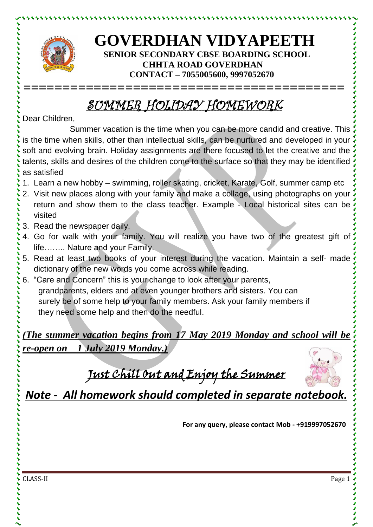

とけけいけいけいけい

## **GOVERDHAN VIDYAPEETH SENIOR SECONDARY CBSE BOARDING SCHOOL CHHTA ROAD GOVERDHAN CONTACT – 7055005600, 9997052670**

## SUMMER HOLIDAY HOMEWORK

**=========================================**

Dear Children,

Summer vacation is the time when you can be more candid and creative. This is the time when skills, other than intellectual skills, can be nurtured and developed in your soft and evolving brain. Holiday assignments are there focused to let the creative and the talents, skills and desires of the children come to the surface so that they may be identified as satisfied

- 1. Learn a new hobby swimming, roller skating, cricket, Karate, Golf, summer camp etc
- 2. Visit new places along with your family and make a collage, using photographs on your return and show them to the class teacher. Example - Local historical sites can be visited
- 3. Read the newspaper daily.
- 4. Go for walk with your family. You will realize you have two of the greatest gift of life…….. Nature and your Family.
- 5. Read at least two books of your interest during the vacation. Maintain a self- made dictionary of the new words you come across while reading.
- 6. "Care and Concern" this is your change to look after your parents, grandparents, elders and at even younger brothers and sisters. You can surely be of some help to your family members. Ask your family members if they need some help and then do the needful.

*(The summer vacation begins from 17 May 2019 Monday and school will be re-open on 1 July 2019 Monday.)*

Just Chill Out and Enjoy the Summer



*Note - All homework should completed in separate notebook.*

**For any query, please contact Mob - +919997052670**

CLASS-II Page 1